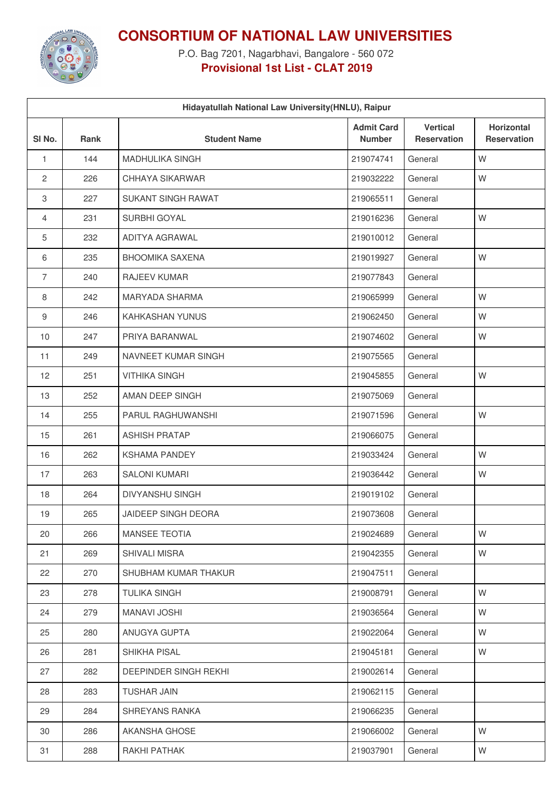

**CONSORTIUM OF NATIONAL LAW UNIVERSITIES**

P.O. Bag 7201, Nagarbhavi, Bangalore - 560 072 **Provisional 1st List - CLAT 2019**

| Hidayatullah National Law University (HNLU), Raipur |             |                        |                                    |                                       |                                  |  |  |  |
|-----------------------------------------------------|-------------|------------------------|------------------------------------|---------------------------------------|----------------------------------|--|--|--|
| SI <sub>No.</sub>                                   | <b>Rank</b> | <b>Student Name</b>    | <b>Admit Card</b><br><b>Number</b> | <b>Vertical</b><br><b>Reservation</b> | Horizontal<br><b>Reservation</b> |  |  |  |
| $\mathbf{1}$                                        | 144         | <b>MADHULIKA SINGH</b> | 219074741                          | General                               | W                                |  |  |  |
| $\mathbf{2}$                                        | 226         | CHHAYA SIKARWAR        | 219032222                          | General                               | W                                |  |  |  |
| 3                                                   | 227         | SUKANT SINGH RAWAT     | 219065511                          | General                               |                                  |  |  |  |
| 4                                                   | 231         | SURBHI GOYAL           | 219016236                          | General                               | W                                |  |  |  |
| 5                                                   | 232         | ADITYA AGRAWAL         | 219010012                          | General                               |                                  |  |  |  |
| 6                                                   | 235         | <b>BHOOMIKA SAXENA</b> | 219019927                          | General                               | W                                |  |  |  |
| $\overline{7}$                                      | 240         | RAJEEV KUMAR           | 219077843                          | General                               |                                  |  |  |  |
| 8                                                   | 242         | MARYADA SHARMA         | 219065999                          | General                               | W                                |  |  |  |
| 9                                                   | 246         | KAHKASHAN YUNUS        | 219062450                          | General                               | W                                |  |  |  |
| 10                                                  | 247         | PRIYA BARANWAL         | 219074602                          | General                               | W                                |  |  |  |
| 11                                                  | 249         | NAVNEET KUMAR SINGH    | 219075565                          | General                               |                                  |  |  |  |
| 12                                                  | 251         | <b>VITHIKA SINGH</b>   | 219045855                          | General                               | W                                |  |  |  |
| 13                                                  | 252         | AMAN DEEP SINGH        | 219075069                          | General                               |                                  |  |  |  |
| 14                                                  | 255         | PARUL RAGHUWANSHI      | 219071596                          | General                               | W                                |  |  |  |
| 15                                                  | 261         | <b>ASHISH PRATAP</b>   | 219066075                          | General                               |                                  |  |  |  |
| 16                                                  | 262         | <b>KSHAMA PANDEY</b>   | 219033424                          | General                               | W                                |  |  |  |
| 17                                                  | 263         | <b>SALONI KUMARI</b>   | 219036442                          | General                               | W                                |  |  |  |
| 18                                                  | 264         | DIVYANSHU SINGH        | 219019102                          | General                               |                                  |  |  |  |
| 19                                                  | 265         | JAIDEEP SINGH DEORA    | 219073608                          | General                               |                                  |  |  |  |
| 20                                                  | 266         | <b>MANSEE TEOTIA</b>   | 219024689                          | General                               | W                                |  |  |  |
| 21                                                  | 269         | SHIVALI MISRA          | 219042355                          | General                               | W                                |  |  |  |
| 22                                                  | 270         | SHUBHAM KUMAR THAKUR   | 219047511                          | General                               |                                  |  |  |  |
| 23                                                  | 278         | <b>TULIKA SINGH</b>    | 219008791                          | General                               | W                                |  |  |  |
| 24                                                  | 279         | <b>MANAVI JOSHI</b>    | 219036564                          | General                               | W                                |  |  |  |
| 25                                                  | 280         | ANUGYA GUPTA           | 219022064                          | General                               | W                                |  |  |  |
| 26                                                  | 281         | SHIKHA PISAL           | 219045181                          | General                               | W                                |  |  |  |
| 27                                                  | 282         | DEEPINDER SINGH REKHI  | 219002614                          | General                               |                                  |  |  |  |
| 28                                                  | 283         | <b>TUSHAR JAIN</b>     | 219062115                          | General                               |                                  |  |  |  |
| 29                                                  | 284         | SHREYANS RANKA         | 219066235                          | General                               |                                  |  |  |  |
| 30                                                  | 286         | AKANSHA GHOSE          | 219066002                          | General                               | W                                |  |  |  |
| 31                                                  | 288         | RAKHI PATHAK           | 219037901                          | General                               | W                                |  |  |  |